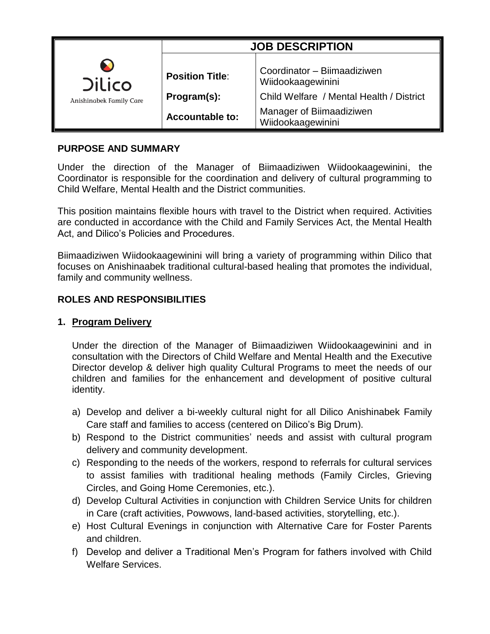|                                                      | <b>JOB DESCRIPTION</b>                |                                                                                              |
|------------------------------------------------------|---------------------------------------|----------------------------------------------------------------------------------------------|
| <b>X</b><br><b>Dilico</b><br>Anishinabek Family Care | <b>Position Title:</b><br>Program(s): | Coordinator - Biimaadiziwen<br>Wiidookaagewinini<br>Child Welfare / Mental Health / District |
|                                                      | <b>Accountable to:</b>                | Manager of Biimaadiziwen<br>Wiidookaagewinini                                                |

## **PURPOSE AND SUMMARY**

Under the direction of the Manager of Biimaadiziwen Wiidookaagewinini, the Coordinator is responsible for the coordination and delivery of cultural programming to Child Welfare, Mental Health and the District communities.

This position maintains flexible hours with travel to the District when required. Activities are conducted in accordance with the Child and Family Services Act, the Mental Health Act, and Dilico's Policies and Procedures.

Biimaadiziwen Wiidookaagewinini will bring a variety of programming within Dilico that focuses on Anishinaabek traditional cultural-based healing that promotes the individual, family and community wellness.

## **ROLES AND RESPONSIBILITIES**

### **1. Program Delivery**

Under the direction of the Manager of Biimaadiziwen Wiidookaagewinini and in consultation with the Directors of Child Welfare and Mental Health and the Executive Director develop & deliver high quality Cultural Programs to meet the needs of our children and families for the enhancement and development of positive cultural identity.

- a) Develop and deliver a bi-weekly cultural night for all Dilico Anishinabek Family Care staff and families to access (centered on Dilico's Big Drum).
- b) Respond to the District communities' needs and assist with cultural program delivery and community development.
- c) Responding to the needs of the workers, respond to referrals for cultural services to assist families with traditional healing methods (Family Circles, Grieving Circles, and Going Home Ceremonies, etc.).
- d) Develop Cultural Activities in conjunction with Children Service Units for children in Care (craft activities, Powwows, land-based activities, storytelling, etc.).
- e) Host Cultural Evenings in conjunction with Alternative Care for Foster Parents and children.
- f) Develop and deliver a Traditional Men's Program for fathers involved with Child Welfare Services.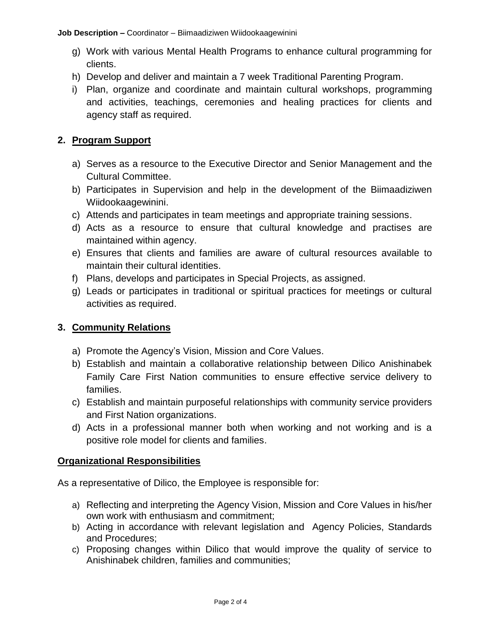**Job Description –** Coordinator – Biimaadiziwen Wiidookaagewinini

- g) Work with various Mental Health Programs to enhance cultural programming for clients.
- h) Develop and deliver and maintain a 7 week Traditional Parenting Program.
- i) Plan, organize and coordinate and maintain cultural workshops, programming and activities, teachings, ceremonies and healing practices for clients and agency staff as required.

# **2. Program Support**

- a) Serves as a resource to the Executive Director and Senior Management and the Cultural Committee.
- b) Participates in Supervision and help in the development of the Biimaadiziwen Wiidookaagewinini.
- c) Attends and participates in team meetings and appropriate training sessions.
- d) Acts as a resource to ensure that cultural knowledge and practises are maintained within agency.
- e) Ensures that clients and families are aware of cultural resources available to maintain their cultural identities.
- f) Plans, develops and participates in Special Projects, as assigned.
- g) Leads or participates in traditional or spiritual practices for meetings or cultural activities as required.

## **3. Community Relations**

- a) Promote the Agency's Vision, Mission and Core Values.
- b) Establish and maintain a collaborative relationship between Dilico Anishinabek Family Care First Nation communities to ensure effective service delivery to families.
- c) Establish and maintain purposeful relationships with community service providers and First Nation organizations.
- d) Acts in a professional manner both when working and not working and is a positive role model for clients and families.

## **Organizational Responsibilities**

As a representative of Dilico, the Employee is responsible for:

- a) Reflecting and interpreting the Agency Vision, Mission and Core Values in his/her own work with enthusiasm and commitment;
- b) Acting in accordance with relevant legislation and Agency Policies, Standards and Procedures;
- c) Proposing changes within Dilico that would improve the quality of service to Anishinabek children, families and communities;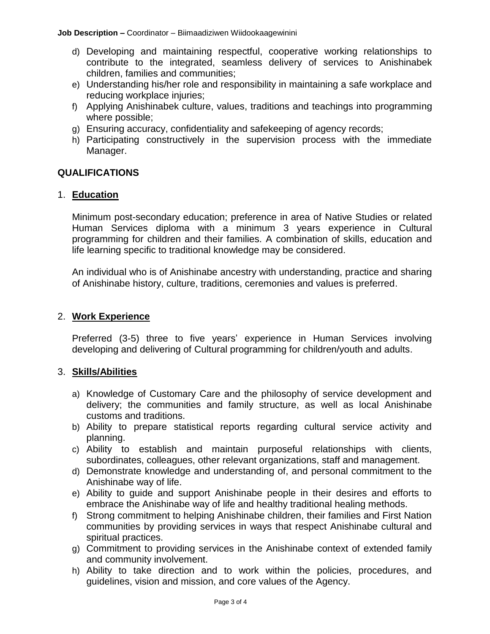**Job Description –** Coordinator – Biimaadiziwen Wiidookaagewinini

- d) Developing and maintaining respectful, cooperative working relationships to contribute to the integrated, seamless delivery of services to Anishinabek children, families and communities;
- e) Understanding his/her role and responsibility in maintaining a safe workplace and reducing workplace injuries;
- f) Applying Anishinabek culture, values, traditions and teachings into programming where possible;
- g) Ensuring accuracy, confidentiality and safekeeping of agency records;
- h) Participating constructively in the supervision process with the immediate Manager.

### **QUALIFICATIONS**

### 1. **Education**

Minimum post-secondary education; preference in area of Native Studies or related Human Services diploma with a minimum 3 years experience in Cultural programming for children and their families. A combination of skills, education and life learning specific to traditional knowledge may be considered.

An individual who is of Anishinabe ancestry with understanding, practice and sharing of Anishinabe history, culture, traditions, ceremonies and values is preferred.

### 2. **Work Experience**

Preferred (3-5) three to five years' experience in Human Services involving developing and delivering of Cultural programming for children/youth and adults.

### 3. **Skills/Abilities**

- a) Knowledge of Customary Care and the philosophy of service development and delivery; the communities and family structure, as well as local Anishinabe customs and traditions.
- b) Ability to prepare statistical reports regarding cultural service activity and planning.
- c) Ability to establish and maintain purposeful relationships with clients, subordinates, colleagues, other relevant organizations, staff and management.
- d) Demonstrate knowledge and understanding of, and personal commitment to the Anishinabe way of life.
- e) Ability to guide and support Anishinabe people in their desires and efforts to embrace the Anishinabe way of life and healthy traditional healing methods.
- f) Strong commitment to helping Anishinabe children, their families and First Nation communities by providing services in ways that respect Anishinabe cultural and spiritual practices.
- g) Commitment to providing services in the Anishinabe context of extended family and community involvement.
- h) Ability to take direction and to work within the policies, procedures, and guidelines, vision and mission, and core values of the Agency.